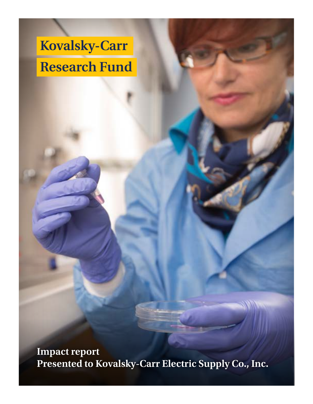# **Kovalsky-Carr Research Fund**

**Impact report Presented to Kovalsky-Carr Electric Supply Co., Inc.**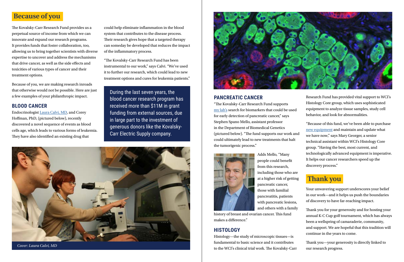## **Because of you**

The Kovalsky-Carr Research Fund provides us a perpetual source of income from which we can innovate and expand our research programs. It provides funds that foster collaboration, too, allowing us to bring together scientists with diverse expertise to uncover and address the mechanisms that drive cancer, as well as the side effects and toxicities of various types of cancer and their treatment options.

Because of you, we are making research inroads that otherwise would not be possible. Here are just a few examples of your philanthropic impact.

#### **BLOOD CANCER**

Endocrinologist [Laura Calvi, MD,](https://www.urmc.rochester.edu/people/20891886-laura-m-calvi) and Corey Hoffman, PhD, (pictured below), recently discovered a novel sequence of events as blood cells age, which leads to various forms of leukemia. They have also identified an existing drug that

could help eliminate inflammation in the blood system that contributes to the disease process. Their research gives hope that a targeted therapy can someday be developed that reduces the impact of the inflammatory process.

"The Kovalsky-Carr Research Fund has been instrumental to our work," says Calvi. "We've used it to further our research, which could lead to new treatment options and cures for leukemia patients."

During the last seven years, the blood cancer research program has received more than \$11M in grant funding from external sources, due in large part to the investment of generous donors like the Kovalsky-Carr Electric Supply company.



#### **PANCREATIC CANCER**

"The Kovalsky-Carr Research Fund supports [my lab's](https://www.urmc.rochester.edu/labs/mello.aspx) search for biomarkers that could be used for early detection of pancreatic cancer," says Stephen Spano Mello, assistant professor in the Department of Biomedical Genetics (pictured below). "The fund supports our work and could ultimately lead to new treatments that halt the tumorigenic process."



Adds Mello, "Many people could benefit from this research, including those who are at a higher risk of getting pancreatic cancer, those with familial pancreatitis, patients with pancreatic lesions, and others with a family

history of breast and ovarian cancer. This fund makes a difference."

#### **HISTOLOGY**

Histology—the study of microscopic tissues—is fundamental to basic science and it contributes to the WCI's clinical trial work. The Kovalsky-Carr Your unwavering support underscores your belief in our work—and it helps us push the boundaries of discovery to have far-reaching impact.

Thank you for your generosity and for hosting your annual K-C Cup golf tournament, which has always been a wellspring of camaraderie, community, and support. We are hopeful that this tradition will continue in the years to come.

Thank you—your generosity is directly linked to our research progress.

### **Thank you**

Research Fund has provided vital support to WCI's Histology Core group, which uses sophisticated equipment to analyze tissue samples, study cell behavior, and look for abnormalities.

"Because of this fund, we've been able to purchase [new equipment](https://www.urmc.rochester.edu/labs/tumor-immunology/digital-pathology-biorepository.aspx) and maintain and update what we have now," says Mary Georger, a senior technical assistant within WCI's Histology Core group. "Having the best, most current, and technologically advanced equipment is imperative. It helps our cancer researchers speed up the discovery process."

*Cover: Laura Calvi, MD*